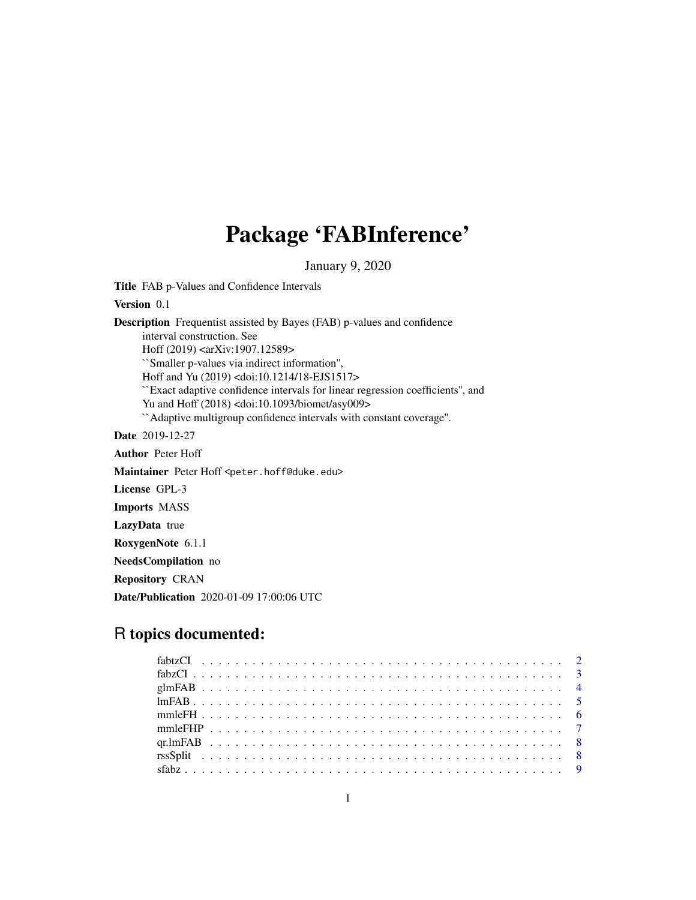# Package 'FABInference'

January 9, 2020

Title FAB p-Values and Confidence Intervals

Version 0.1

Description Frequentist assisted by Bayes (FAB) p-values and confidence interval construction. See Hoff (2019) <arXiv:1907.12589> ``Smaller p-values via indirect information'', Hoff and Yu (2019) <doi:10.1214/18-EJS1517> ``Exact adaptive confidence intervals for linear regression coefficients'', and Yu and Hoff (2018) <doi:10.1093/biomet/asy009> ``Adaptive multigroup confidence intervals with constant coverage''. Date 2019-12-27 Author Peter Hoff

Maintainer Peter Hoff <peter.hoff@duke.edu>

License GPL-3

Imports MASS

LazyData true

RoxygenNote 6.1.1

NeedsCompilation no

Repository CRAN

Date/Publication 2020-01-09 17:00:06 UTC

## R topics documented: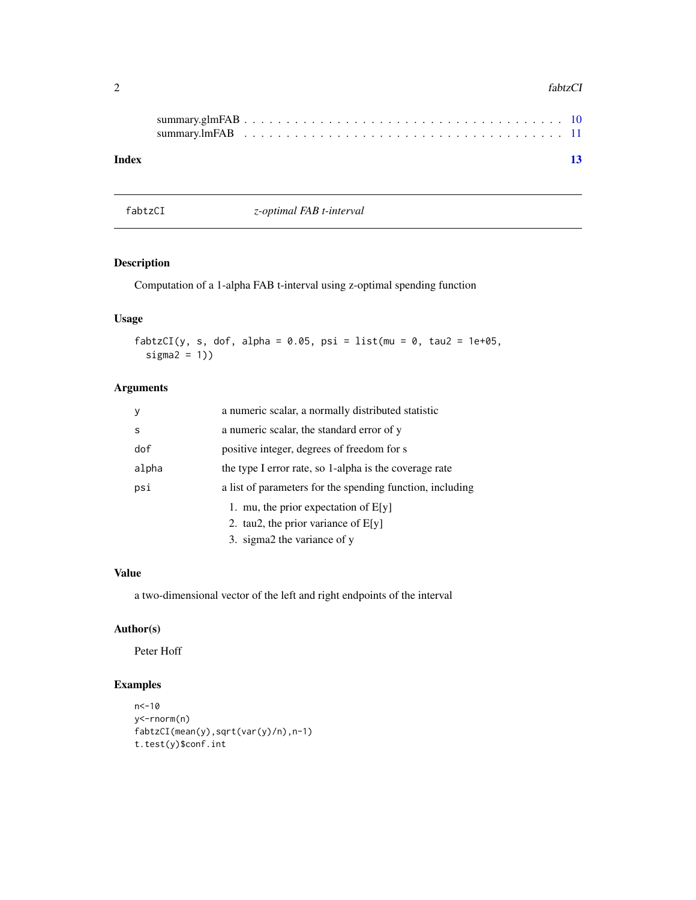#### <span id="page-1-0"></span>2 fabtzCl

| Index |  |  |  |  |  |  |  |  |  |  |  |  |  |  |  | 13 |
|-------|--|--|--|--|--|--|--|--|--|--|--|--|--|--|--|----|

fabtzCI *z-optimal FAB t-interval*

#### Description

Computation of a 1-alpha FAB t-interval using z-optimal spending function

#### Usage

```
fabtzCI(y, s, dof, alpha = 0.05, psi = list(mu = 0, tau2 = 1e+05,
  signa2 = 1)
```
#### Arguments

| <b>V</b> | a numeric scalar, a normally distributed statistic        |
|----------|-----------------------------------------------------------|
| S        | a numeric scalar, the standard error of y                 |
| dof      | positive integer, degrees of freedom for s                |
| alpha    | the type I error rate, so 1-alpha is the coverage rate    |
| psi      | a list of parameters for the spending function, including |
|          | 1. mu, the prior expectation of $E[y]$                    |
|          | 2. tau2, the prior variance of $E[y]$                     |
|          | 3. sigma2 the variance of y                               |

#### Value

a two-dimensional vector of the left and right endpoints of the interval

#### Author(s)

Peter Hoff

```
n<-10
y<-rnorm(n)
fabtzCI(mean(y),sqrt(var(y)/n),n-1)
t.test(y)$conf.int
```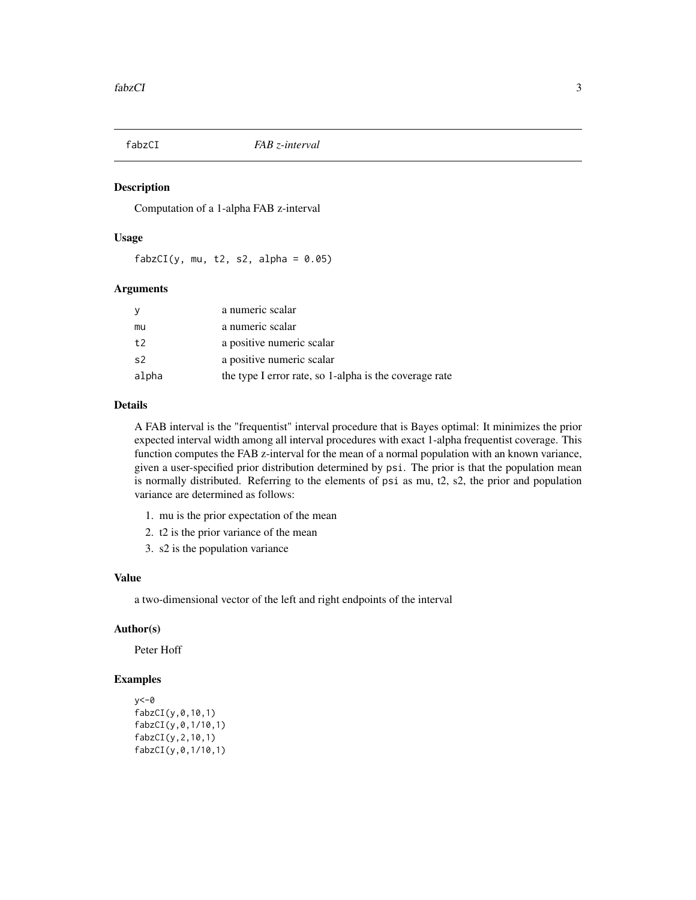<span id="page-2-0"></span>

#### Description

Computation of a 1-alpha FAB z-interval

#### Usage

 $fabzCI(y, mu, t2, s2, alpha = 0.05)$ 

#### Arguments

|       | a numeric scalar                                       |
|-------|--------------------------------------------------------|
| mu    | a numeric scalar                                       |
| t2    | a positive numeric scalar                              |
| s2    | a positive numeric scalar                              |
| alpha | the type I error rate, so 1-alpha is the coverage rate |

#### Details

A FAB interval is the "frequentist" interval procedure that is Bayes optimal: It minimizes the prior expected interval width among all interval procedures with exact 1-alpha frequentist coverage. This function computes the FAB z-interval for the mean of a normal population with an known variance, given a user-specified prior distribution determined by psi. The prior is that the population mean is normally distributed. Referring to the elements of psi as mu, t2, s2, the prior and population variance are determined as follows:

- 1. mu is the prior expectation of the mean
- 2. t2 is the prior variance of the mean
- 3. s2 is the population variance

#### Value

a two-dimensional vector of the left and right endpoints of the interval

#### Author(s)

Peter Hoff

```
y < -0fabzCI(y,0,10,1)
fabzCI(y,0,1/10,1)
fabzCI(y,2,10,1)
fabzCI(y,0,1/10,1)
```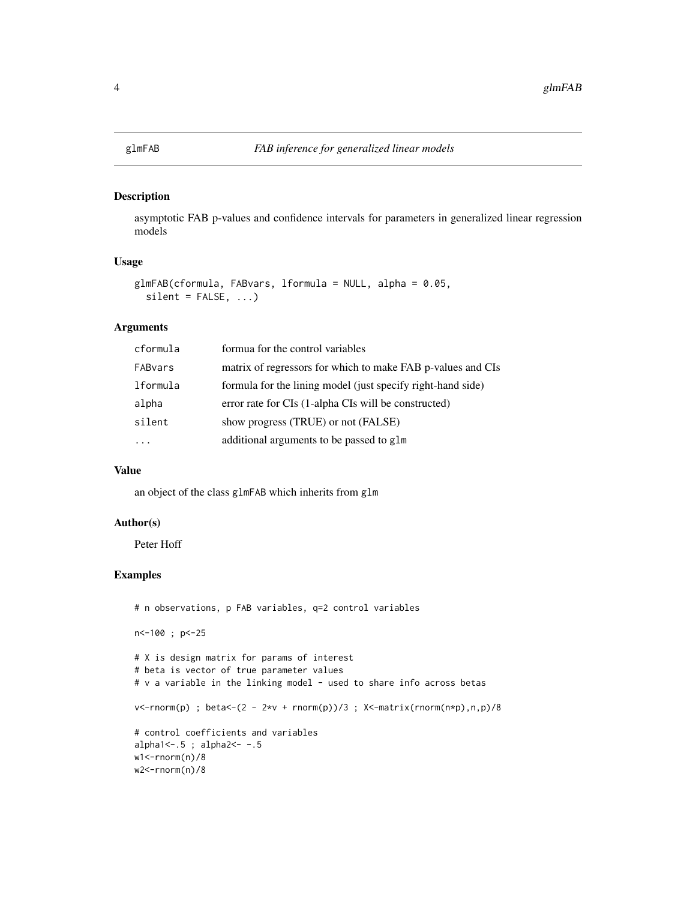#### <span id="page-3-0"></span>Description

asymptotic FAB p-values and confidence intervals for parameters in generalized linear regression models

#### Usage

```
glmFAB(cformula, FABvars, lformula = NULL, alpha = 0.05,
  silent = FALSE, ...)
```
#### Arguments

| formua for the control variables                            |
|-------------------------------------------------------------|
| matrix of regressors for which to make FAB p-values and CIs |
| formula for the lining model (just specify right-hand side) |
| error rate for CIs (1-alpha CIs will be constructed)        |
| show progress (TRUE) or not (FALSE)                         |
| additional arguments to be passed to glm                    |
|                                                             |

#### Value

an object of the class glmFAB which inherits from glm

#### Author(s)

Peter Hoff

```
# n observations, p FAB variables, q=2 control variables
n<-100 ; p<-25
# X is design matrix for params of interest
# beta is vector of true parameter values
# v a variable in the linking model - used to share info across betas
v <-rnorm(p) ; beta <- (2 - 2*v + rnorm(p))/3 ; X <-matrix(rnorm(n*p),n,p)/8
# control coefficients and variables
alpha1<-.5 ; alpha2<- -.5
w1<-rnorm(n)/8
w2<-rnorm(n)/8
```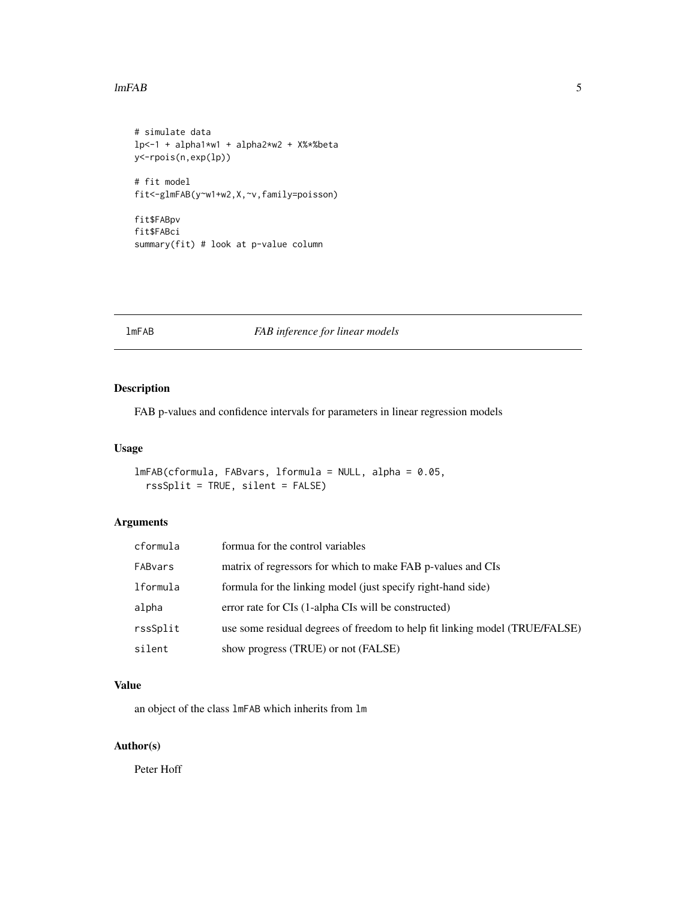#### <span id="page-4-0"></span> $ImFAB$  5

```
# simulate data
lp<-1 + alpha1*w1 + alpha2*w2 + X%*%beta
y<-rpois(n,exp(lp))
# fit model
fit<-glmFAB(y~w1+w2,X,~v,family=poisson)
fit$FABpv
```
fit\$FABci summary(fit) # look at p-value column

#### lmFAB *FAB inference for linear models*

#### Description

FAB p-values and confidence intervals for parameters in linear regression models

#### Usage

```
lmFAB(cformula, FABvars, lformula = NULL, alpha = 0.05,
  rssSplit = TRUE, silent = FALSE)
```
#### Arguments

| cformula | formua for the control variables                                            |
|----------|-----------------------------------------------------------------------------|
| FABvars  | matrix of regressors for which to make FAB p-values and CIs                 |
| lformula | formula for the linking model (just specify right-hand side)                |
| alpha    | error rate for CIs (1-alpha CIs will be constructed)                        |
| rssSplit | use some residual degrees of freedom to help fit linking model (TRUE/FALSE) |
| silent   | show progress (TRUE) or not (FALSE)                                         |

#### Value

an object of the class lmFAB which inherits from lm

#### Author(s)

Peter Hoff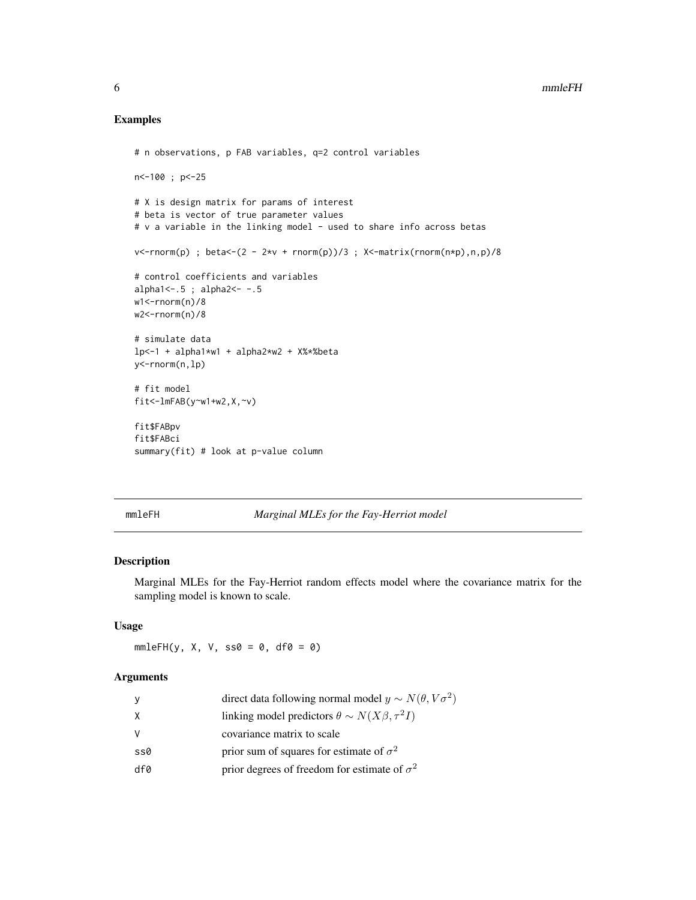#### Examples

```
# n observations, p FAB variables, q=2 control variables
n<-100 ; p<-25
# X is design matrix for params of interest
# beta is vector of true parameter values
# v a variable in the linking model - used to share info across betas
v <-rnorm(p) ; beta <- (2 - 2*v + rnorm(p))/3 ; X <- matrix(rnorm(n*p), n, p)/8
# control coefficients and variables
alpha1<-.5 ; alpha2<- -.5
w1<-rnorm(n)/8
w2<-rnorm(n)/8
# simulate data
lp<-1 + alpha1*w1 + alpha2*w2 + X%*%beta
y<-rnorm(n,lp)
# fit model
fit<-lmFAB(y~w1+w2,X,~v)fit$FABpv
fit$FABci
summary(fit) # look at p-value column
```
#### mmleFH *Marginal MLEs for the Fay-Herriot model*

#### Description

Marginal MLEs for the Fay-Herriot random effects model where the covariance matrix for the sampling model is known to scale.

#### Usage

 $mmleFH(y, X, V, ss0 = 0, df0 = 0)$ 

#### Arguments

| y        | direct data following normal model $y \sim N(\theta, V\sigma^2)$ |
|----------|------------------------------------------------------------------|
| X        | linking model predictors $\theta \sim N(X\beta, \tau^2 I)$       |
| <b>V</b> | covariance matrix to scale                                       |
| ss0      | prior sum of squares for estimate of $\sigma^2$                  |
| df0      | prior degrees of freedom for estimate of $\sigma^2$              |

<span id="page-5-0"></span>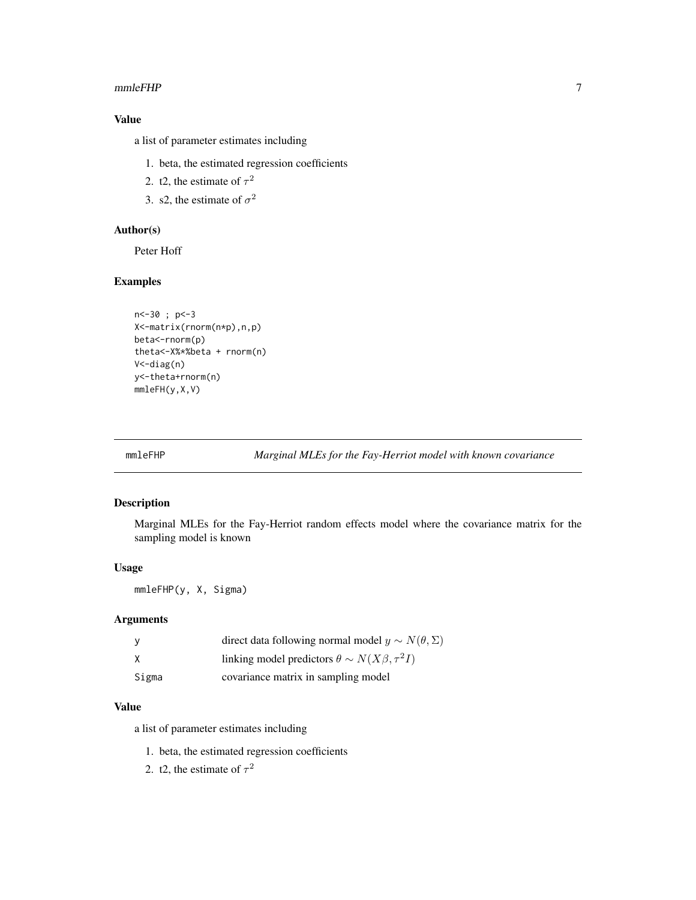#### <span id="page-6-0"></span> $mm$ e $FHP$   $\hspace{1.5cm}$  7

#### Value

a list of parameter estimates including

- 1. beta, the estimated regression coefficients
- 2. t2, the estimate of  $\tau^2$
- 3. s2, the estimate of  $\sigma^2$

#### Author(s)

Peter Hoff

#### Examples

```
n<-30 ; p<-3
X<-matrix(rnorm(n*p),n,p)
beta<-rnorm(p)
theta<-X%*%beta + rnorm(n)
V<-diag(n)
y<-theta+rnorm(n)
mmleFH(y,X,V)
```
mmleFHP *Marginal MLEs for the Fay-Herriot model with known covariance*

#### Description

Marginal MLEs for the Fay-Herriot random effects model where the covariance matrix for the sampling model is known

#### Usage

mmleFHP(y, X, Sigma)

#### Arguments

| у     | direct data following normal model $y \sim N(\theta, \Sigma)$ |
|-------|---------------------------------------------------------------|
| x     | linking model predictors $\theta \sim N(X\beta, \tau^2 I)$    |
| Sigma | covariance matrix in sampling model                           |

#### Value

a list of parameter estimates including

- 1. beta, the estimated regression coefficients
- 2. t2, the estimate of  $\tau^2$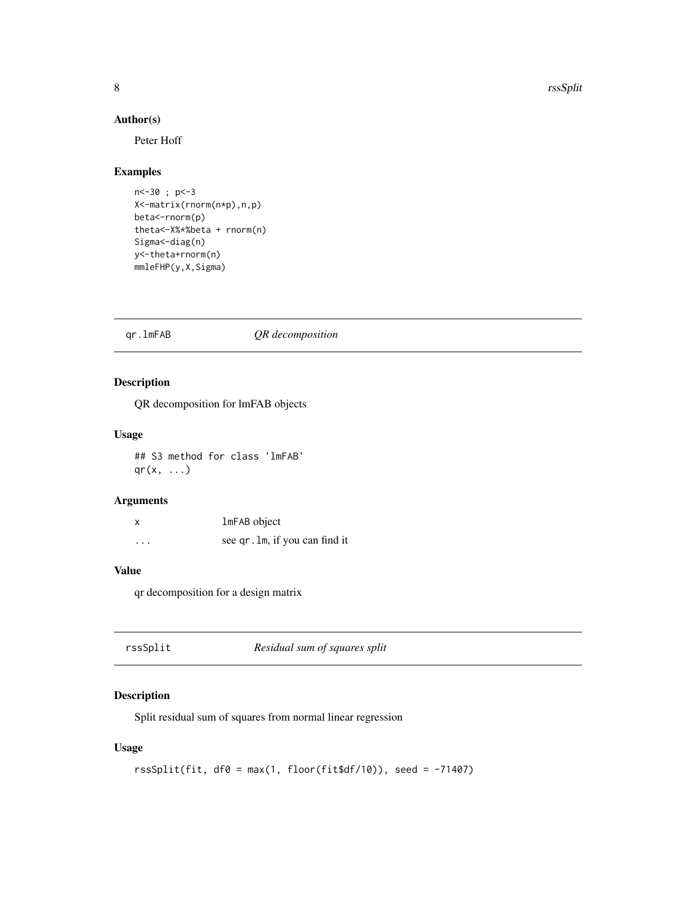#### Author(s)

Peter Hoff

#### Examples

```
n<-30 ; p<-3
X<-matrix(rnorm(n*p),n,p)
beta<-rnorm(p)
theta<-X%*%beta + rnorm(n)
Sigma<sup><-diag(n)</sup>
y<-theta+rnorm(n)
mmleFHP(y,X,Sigma)
```
#### qr.lmFAB *QR decomposition*

#### Description

QR decomposition for lmFAB objects

#### Usage

## S3 method for class 'lmFAB'  $qr(x, \ldots)$ 

#### Arguments

|          | 1mFAB object                   |
|----------|--------------------------------|
| $\cdots$ | see qr. 1m, if you can find it |

#### Value

qr decomposition for a design matrix

rssSplit *Residual sum of squares split*

#### Description

Split residual sum of squares from normal linear regression

#### Usage

```
rsSplit(fit, df0 = max(1, floor(fit$df/10)), seed = -71407)
```
<span id="page-7-0"></span>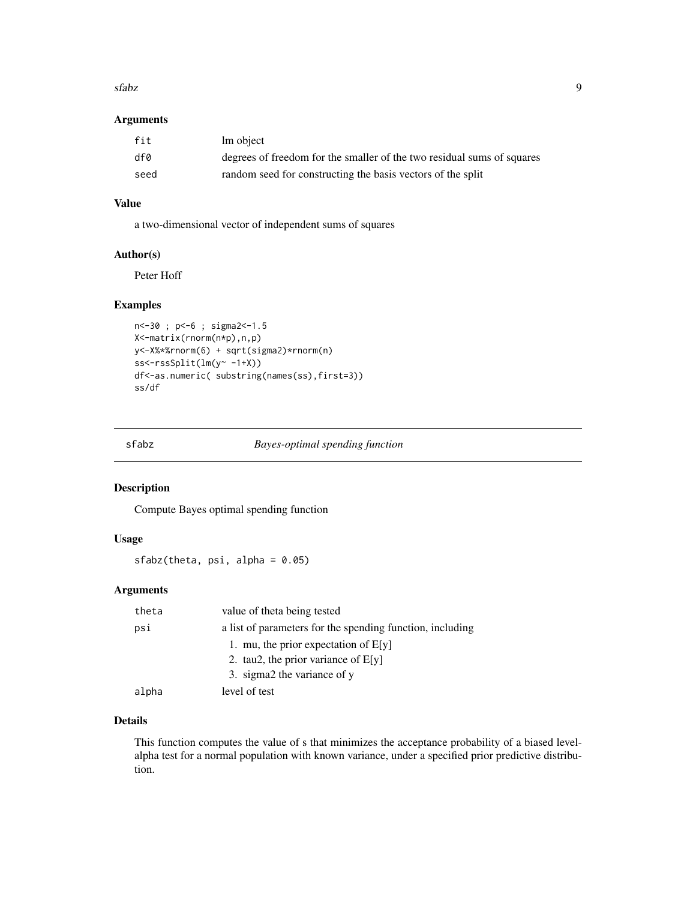#### <span id="page-8-0"></span> $s$ fabz  $\qquad$

#### Arguments

| fit  | lm object                                                              |
|------|------------------------------------------------------------------------|
| df0  | degrees of freedom for the smaller of the two residual sums of squares |
| seed | random seed for constructing the basis vectors of the split            |

#### Value

a two-dimensional vector of independent sums of squares

#### Author(s)

Peter Hoff

#### Examples

```
n<-30 ; p<-6 ; sigma2<-1.5
X<-matrix(rnorm(n*p),n,p)
y<-X%*%rnorm(6) + sqrt(sigma2)*rnorm(n)
ss<-rssSplit(lm(y~ -1+X))
df<-as.numeric( substring(names(ss),first=3))
ss/df
```
sfabz *Bayes-optimal spending function*

#### Description

Compute Bayes optimal spending function

#### Usage

sfabz(theta, psi, alpha = 0.05)

#### Arguments

| theta | value of theta being tested                               |
|-------|-----------------------------------------------------------|
| psi   | a list of parameters for the spending function, including |
|       | 1. mu, the prior expectation of $E[y]$                    |
|       | 2. tau2, the prior variance of $E[y]$                     |
|       | 3. sigma2 the variance of y                               |
| alpha | level of test                                             |

#### Details

This function computes the value of s that minimizes the acceptance probability of a biased levelalpha test for a normal population with known variance, under a specified prior predictive distribution.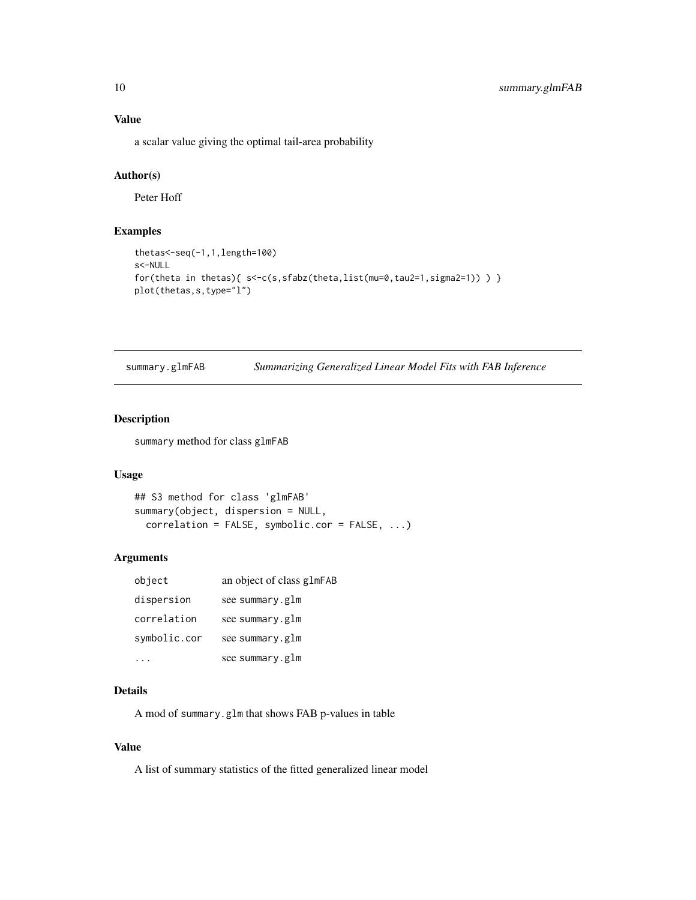### <span id="page-9-0"></span>Value

a scalar value giving the optimal tail-area probability

#### Author(s)

Peter Hoff

#### Examples

```
thetas<-seq(-1,1,length=100)
s<-NULL
for(theta in thetas){        s<-c(s,sfabz(theta,list(mu=0,tau2=1,sigma2=1)) )    }
plot(thetas,s,type="l")
```

| summary.glmFAB |  |  | Summarizing Generalized Linear Model Fits with FAB Inference |
|----------------|--|--|--------------------------------------------------------------|
|                |  |  |                                                              |

#### Description

summary method for class glmFAB

#### Usage

```
## S3 method for class 'glmFAB'
summary(object, dispersion = NULL,
 correlation = FALSE, symbolic.cor = FALSE, ...)
```
#### Arguments

| object       | an object of class glmFAB |
|--------------|---------------------------|
| dispersion   | see summary.glm           |
| correlation  | see summary.glm           |
| symbolic.cor | see summary.glm           |
|              | see summary.glm           |

#### Details

A mod of summary.glm that shows FAB p-values in table

#### Value

A list of summary statistics of the fitted generalized linear model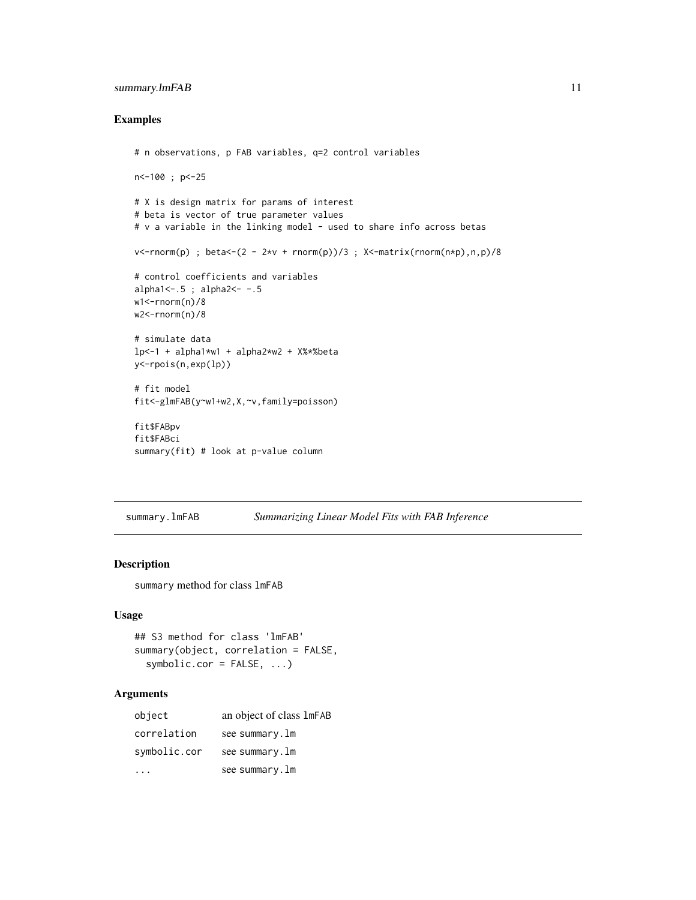#### <span id="page-10-0"></span>summary.lmFAB 11

#### Examples

```
# n observations, p FAB variables, q=2 control variables
n<-100 ; p<-25
# X is design matrix for params of interest
# beta is vector of true parameter values
# v a variable in the linking model - used to share info across betas
v <-rnorm(p) ; beta <- (2 - 2*v + rnorm(p))/3 ; X <- matrix(rnorm(n*p), n, p)/8
# control coefficients and variables
alpha1<-.5 ; alpha2<- -.5
w1<-rnorm(n)/8
w2<-rnorm(n)/8
# simulate data
lp<-1 + alpha1*w1 + alpha2*w2 + X%*%beta
y<-rpois(n,exp(lp))
# fit model
fit<-glmFAB(y~w1+w2,X,~v,family=poisson)
fit$FABpv
fit$FABci
summary(fit) # look at p-value column
```
summary.lmFAB *Summarizing Linear Model Fits with FAB Inference*

#### Description

summary method for class lmFAB

#### Usage

```
## S3 method for class 'lmFAB'
summary(object, correlation = FALSE,
 symbolic.cor = FALSE, ...)
```
#### Arguments

| object       | an object of class 1mFAB |
|--------------|--------------------------|
| correlation  | see summary.lm           |
| symbolic.cor | see summary.lm           |
|              | see summary.lm           |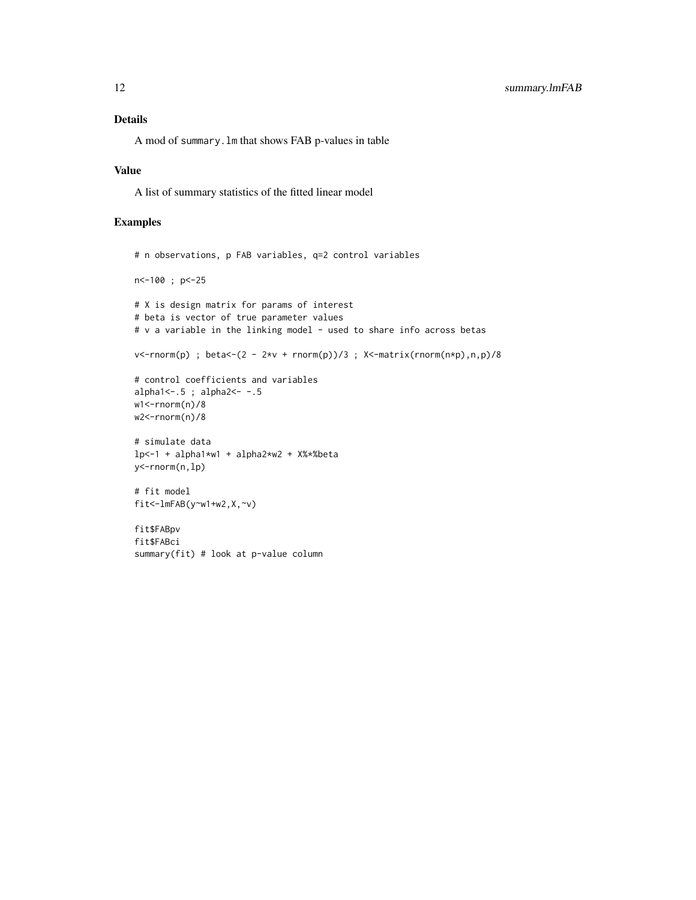#### Details

A mod of summary.lm that shows FAB p-values in table

#### Value

A list of summary statistics of the fitted linear model

```
# n observations, p FAB variables, q=2 control variables
n<-100 ; p<-25
# X is design matrix for params of interest
# beta is vector of true parameter values
# v a variable in the linking model - used to share info across betas
v <-rnorm(p) ; beta <- (2 - 2*v + rnorm(p))/3 ; X <-matrix(rnorm(n*p),n,p)/8
# control coefficients and variables
alpha1<-.5 ; alpha2<- -.5
w1<-rnorm(n)/8
w2 <-rnorm(n)/8
# simulate data
lp<-1 + alpha1*w1 + alpha2*w2 + X%*%beta
y<-rnorm(n,lp)
# fit model
fit<-lmFAB(y~w1+w2,X,~v)
fit$FABpv
fit$FABci
summary(fit) # look at p-value column
```